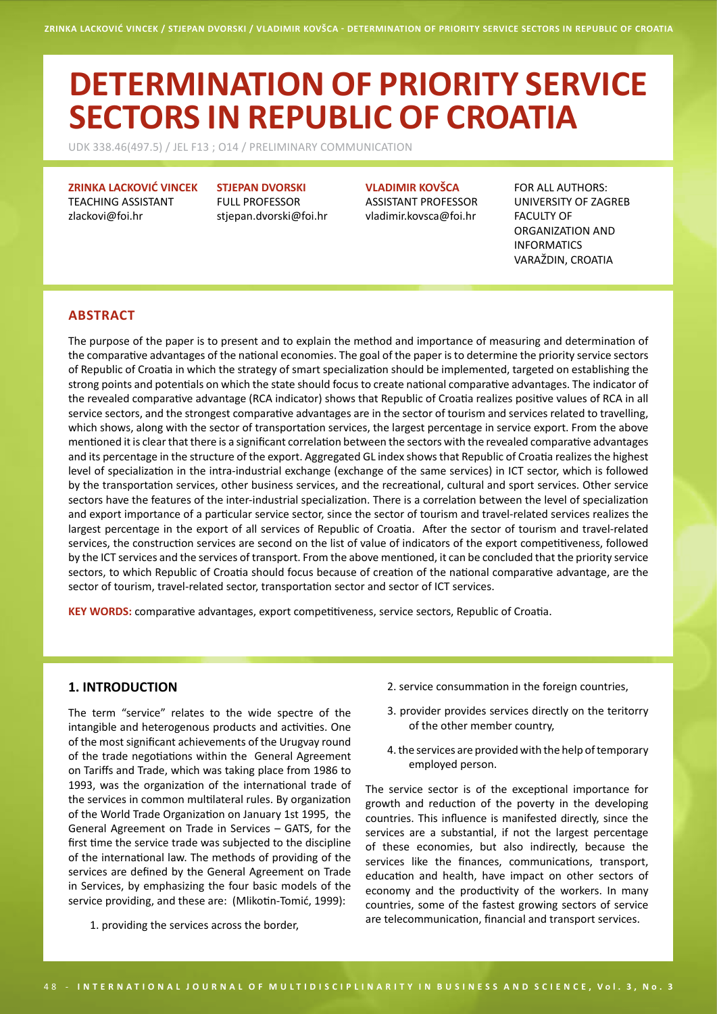# **DETERMINATION OF PRIORITY SERVICE SECTORS IN REPUBLIC OF CROATIA**

UDK 338.46(497.5) / JEL F13 ; O14 / PRELIMINARY COMMUNICATION

**ZRINKA LACKOVIĆ VINCEK** TEACHING ASSISTANT zlackovi@foi.hr

**STJEPAN DVORSKI** FULL PROFESSOR stjepan.dvorski@foi.hr **VLADIMIR KOVŠCA** ASSISTANT PROFESSOR vladimir.kovsca@foi.hr

FOR ALL AUTHORS: UNIVERSITY OF ZAGREB FACULTY OF ORGANIZATION AND INFORMATICS VARAŽDIN, CROATIA

# **ABSTRACT**

The purpose of the paper is to present and to explain the method and importance of measuring and determination of the comparative advantages of the national economies. The goal of the paper is to determine the priority service sectors of Republic of Croatia in which the strategy of smart specialization should be implemented, targeted on establishing the strong points and potentials on which the state should focus to create national comparative advantages. The indicator of the revealed comparative advantage (RCA indicator) shows that Republic of Croatia realizes positive values of RCA in all service sectors, and the strongest comparative advantages are in the sector of tourism and services related to travelling, which shows, along with the sector of transportation services, the largest percentage in service export. From the above mentioned it is clear that there is a significant correlation between the sectors with the revealed comparative advantages and its percentage in the structure of the export. Aggregated GL index shows that Republic of Croatia realizes the highest level of specialization in the intra-industrial exchange (exchange of the same services) in ICT sector, which is followed by the transportation services, other business services, and the recreational, cultural and sport services. Other service sectors have the features of the inter-industrial specialization. There is a correlation between the level of specialization and export importance of a particular service sector, since the sector of tourism and travel-related services realizes the largest percentage in the export of all services of Republic of Croatia. After the sector of tourism and travel-related services, the construction services are second on the list of value of indicators of the export competitiveness, followed by the ICT services and the services of transport. From the above mentioned, it can be concluded that the priority service sectors, to which Republic of Croatia should focus because of creation of the national comparative advantage, are the sector of tourism, travel-related sector, transportation sector and sector of ICT services.

**KEY WORDS:** comparative advantages, export competitiveness, service sectors, Republic of Croatia.

#### **1. INTRODUCTION**

The term "service" relates to the wide spectre of the intangible and heterogenous products and activities. One of the most significant achievements of the Urugvay round of the trade negotiations within the General Agreement on Tariffs and Trade, which was taking place from 1986 to 1993, was the organization of the international trade of the services in common multilateral rules. By organization of the World Trade Organization on January 1st 1995, the General Agreement on Trade in Services – GATS, for the first time the service trade was subjected to the discipline of the international law. The methods of providing of the services are defined by the General Agreement on Trade in Services, by emphasizing the four basic models of the service providing, and these are: (Mlikotin-Tomić, 1999):

1. providing the services across the border,

- 2. service consummation in the foreign countries,
- 3. provider provides services directly on the teritorry of the other member country,
- 4. the services are provided with the help of temporary employed person.

The service sector is of the exceptional importance for growth and reduction of the poverty in the developing countries. This influence is manifested directly, since the services are a substantial, if not the largest percentage of these economies, but also indirectly, because the services like the finances, communications, transport, education and health, have impact on other sectors of economy and the productivity of the workers. In many countries, some of the fastest growing sectors of service are telecommunication, financial and transport services.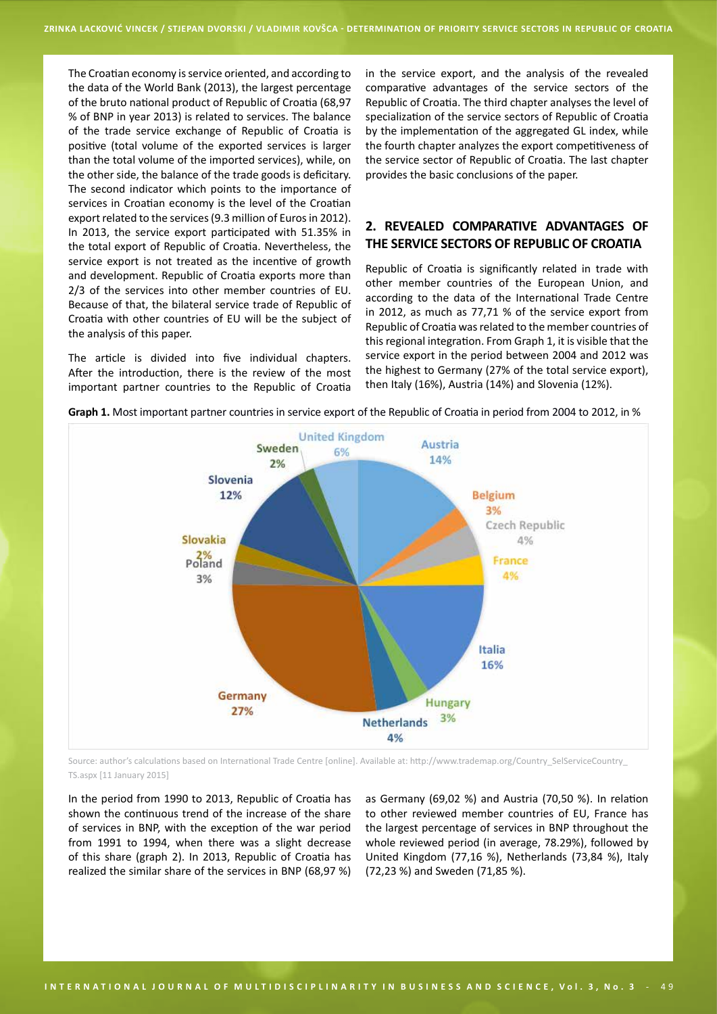The Croatian economy is service oriented, and according to the data of the World Bank (2013), the largest percentage of the bruto national product of Republic of Croatia (68,97 % of BNP in year 2013) is related to services. The balance of the trade service exchange of Republic of Croatia is positive (total volume of the exported services is larger than the total volume of the imported services), while, on the other side, the balance of the trade goods is deficitary. The second indicator which points to the importance of services in Croatian economy is the level of the Croatian export related to the services (9.3 million of Euros in 2012). In 2013, the service export participated with 51.35% in the total export of Republic of Croatia. Nevertheless, the service export is not treated as the incentive of growth and development. Republic of Croatia exports more than 2/3 of the services into other member countries of EU. Because of that, the bilateral service trade of Republic of Croatia with other countries of EU will be the subject of the analysis of this paper.

The article is divided into five individual chapters. After the introduction, there is the review of the most important partner countries to the Republic of Croatia in the service export, and the analysis of the revealed comparative advantages of the service sectors of the Republic of Croatia. The third chapter analyses the level of specialization of the service sectors of Republic of Croatia by the implementation of the aggregated GL index, while the fourth chapter analyzes the export competitiveness of the service sector of Republic of Croatia. The last chapter provides the basic conclusions of the paper.

### **2. REVEALED COMPARATIVE ADVANTAGES OF THE SERVICE SECTORS OF REPUBLIC OF CROATIA**

Republic of Croatia is significantly related in trade with other member countries of the European Union, and according to the data of the International Trade Centre in 2012, as much as 77,71 % of the service export from Republic of Croatia was related to the member countries of this regional integration. From Graph 1, it is visible that the service export in the period between 2004 and 2012 was the highest to Germany (27% of the total service export), then Italy (16%), Austria (14%) and Slovenia (12%).



**Graph 1.** Most important partner countries in service export of the Republic of Croatia in period from 2004 to 2012, in %

Source: author's calculations based on International Trade Centre [online]. Available at: http://www.trademap.org/Country\_SelServiceCountry\_ TS.aspx [11 January 2015]

In the period from 1990 to 2013, Republic of Croatia has shown the continuous trend of the increase of the share of services in BNP, with the exception of the war period from 1991 to 1994, when there was a slight decrease of this share (graph 2). In 2013, Republic of Croatia has realized the similar share of the services in BNP (68,97 %)

as Germany (69,02 %) and Austria (70,50 %). In relation to other reviewed member countries of EU, France has the largest percentage of services in BNP throughout the whole reviewed period (in average, 78.29%), followed by United Kingdom (77,16 %), Netherlands (73,84 %), Italy (72,23 %) and Sweden (71,85 %).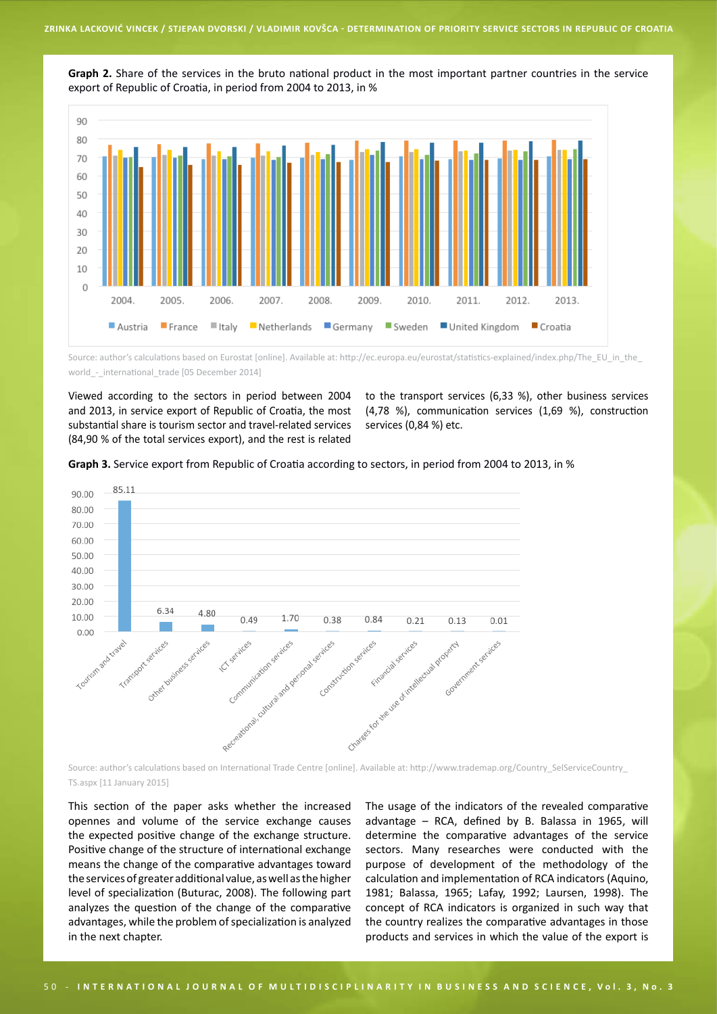**Graph 2.** Share of the services in the bruto national product in the most important partner countries in the service export of Republic of Croatia, in period from 2004 to 2013, in %



Source: author's calculations based on Eurostat [online]. Available at: http://ec.europa.eu/eurostat/statistics-explained/index.php/The\_EU\_in\_the\_ world\_-\_international\_trade [05 December 2014]

Viewed according to the sectors in period between 2004 and 2013, in service export of Republic of Croatia, the most substantial share is tourism sector and travel-related services (84,90 % of the total services export), and the rest is related

to the transport services (6,33 %), other business services (4,78 %), communication services (1,69 %), construction services (0,84 %) etc.





Source: author's calculations based on International Trade Centre [online]. Available at: http://www.trademap.org/Country\_SelServiceCountry\_ TS.aspx [11 January 2015]

This section of the paper asks whether the increased opennes and volume of the service exchange causes the expected positive change of the exchange structure. Positive change of the structure of international exchange means the change of the comparative advantages toward the services of greater additional value, as well as the higher level of specialization (Buturac, 2008). The following part analyzes the question of the change of the comparative advantages, while the problem of specialization is analyzed in the next chapter.

The usage of the indicators of the revealed comparative advantage – RCA, defined by B. Balassa in 1965, will determine the comparative advantages of the service sectors. Many researches were conducted with the purpose of development of the methodology of the calculation and implementation of RCA indicators (Aquino, 1981; Balassa, 1965; Lafay, 1992; Laursen, 1998). The concept of RCA indicators is organized in such way that the country realizes the comparative advantages in those products and services in which the value of the export is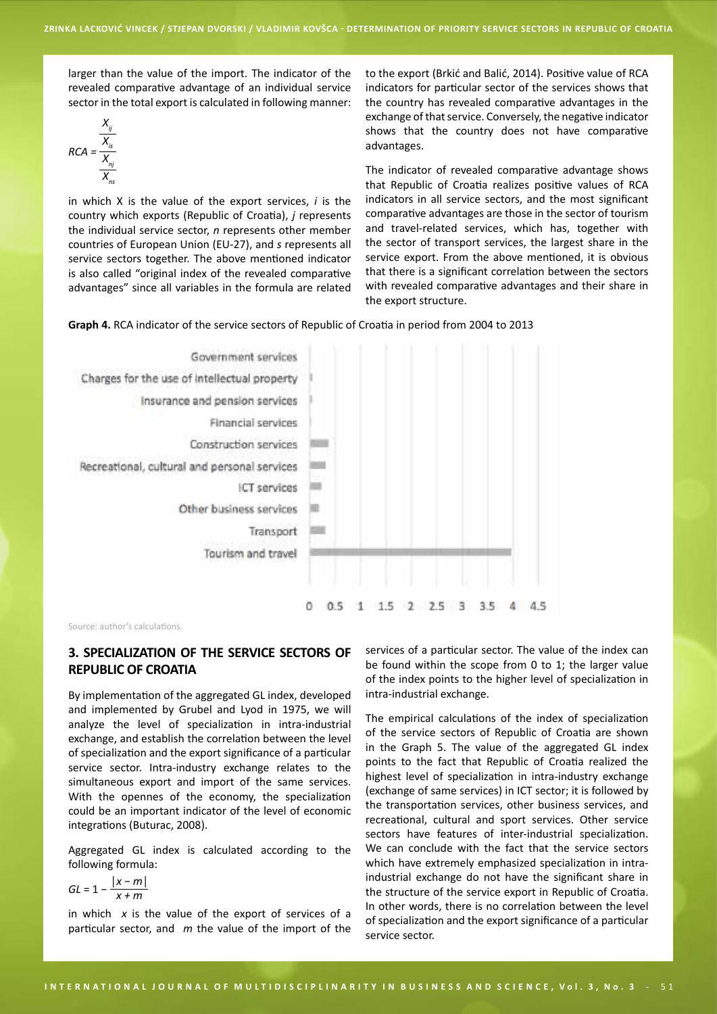larger than the value of the import. The indicator of the revealed comparative advantage of an individual service sector in the total export is calculated in following manner:



in which X is the value of the export services, *i* is the country which exports (Republic of Croatia), *j* represents the individual service sector, *n* represents other member countries of European Union (EU-27), and *s* represents all service sectors together. The above mentioned indicator is also called "original index of the revealed comparative advantages" since all variables in the formula are related

to the export (Brkić and Balić, 2014). Positive value of RCA indicators for particular sector of the services shows that the country has revealed comparative advantages in the exchange of that service. Conversely, the negative indicator shows that the country does not have comparative advantages.

The indicator of revealed comparative advantage shows that Republic of Croatia realizes positive values of RCA indicators in all service sectors, and the most significant comparative advantages are those in the sector of tourism and travel-related services, which has, together with the sector of transport services, the largest share in the service export. From the above mentioned, it is obvious that there is a significant correlation between the sectors with revealed comparative advantages and their share in the export structure.

**Graph 4.** RCA indicator of the service sectors of Republic of Croatia in period from 2004 to 2013



Source: author's calculations.

## **3. SPECIALIZATION OF THE SERVICE SECTORS OF REPUBLIC OF CROATIA**

By implementation of the aggregated GL index, developed and implemented by Grubel and Lyod in 1975, we will analyze the level of specialization in intra-industrial exchange, and establish the correlation between the level of specialization and the export significance of a particular service sector. Intra-industry exchange relates to the simultaneous export and import of the same services. With the opennes of the economy, the specialization could be an important indicator of the level of economic integrations (Buturac, 2008).

Aggregated GL index is calculated according to the following formula:

$$
GL = 1 - \frac{|x-m|}{x+m}
$$

in which *x* is the value of the export of services of a particular sector, and *m* the value of the import of the services of a particular sector. The value of the index can be found within the scope from 0 to 1; the larger value of the index points to the higher level of specialization in intra-industrial exchange.

The empirical calculations of the index of specialization of the service sectors of Republic of Croatia are shown in the Graph 5. The value of the aggregated GL index points to the fact that Republic of Croatia realized the highest level of specialization in intra-industry exchange (exchange of same services) in ICT sector; it is followed by the transportation services, other business services, and recreational, cultural and sport services. Other service sectors have features of inter-industrial specialization. We can conclude with the fact that the service sectors which have extremely emphasized specialization in intraindustrial exchange do not have the significant share in the structure of the service export in Republic of Croatia. In other words, there is no correlation between the level of specialization and the export significance of a particular service sector.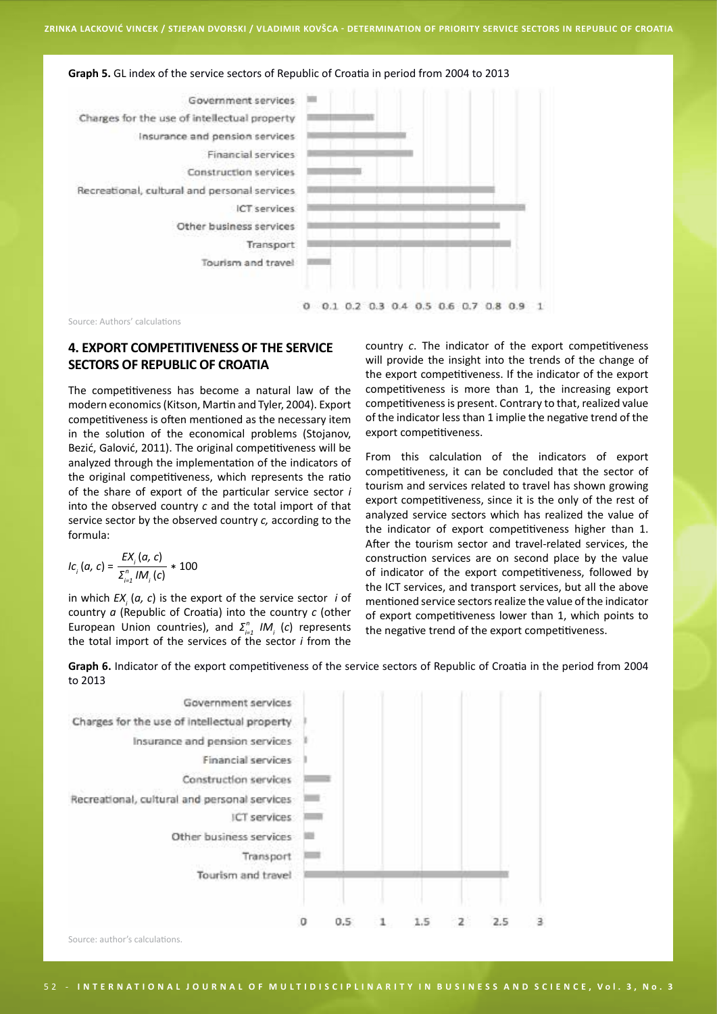

**Graph 5.** GL index of the service sectors of Republic of Croatia in period from 2004 to 2013

Source: Authors' calculations

## **4. EXPORT COMPETITIVENESS OF THE SERVICE SECTORS OF REPUBLIC OF CROATIA**

The competitiveness has become a natural law of the modern economics (Kitson, Martin and Tyler, 2004). Export competitiveness is often mentioned as the necessary item in the solution of the economical problems (Stojanov, Bezić, Galović, 2011). The original competitiveness will be analyzed through the implementation of the indicators of the original competitiveness, which represents the ratio of the share of export of the particular service sector *i* into the observed country *c* and the total import of that service sector by the observed country *c,* according to the formula:

$$
IC_{i}(a, c) = \frac{EX_{i}(a, c)}{\sum_{i=1}^{n} IM_{i}(c)} * 100
$$

in which *EXi* (*a, c*) is the export of the service sector *i* of country *a* (Republic of Croatia) into the country *c* (other European Union countries), and  $\Sigma_{i=1}^n$  *IM<sub>i</sub>* (*c*) represents the total import of the services of the sector *i* from the

country *c*. The indicator of the export competitiveness will provide the insight into the trends of the change of the export competitiveness. If the indicator of the export competitiveness is more than 1, the increasing export competitiveness is present. Contrary to that, realized value of the indicator less than 1 implie the negative trend of the export competitiveness.

From this calculation of the indicators of export competitiveness, it can be concluded that the sector of tourism and services related to travel has shown growing export competitiveness, since it is the only of the rest of analyzed service sectors which has realized the value of the indicator of export competitiveness higher than 1. After the tourism sector and travel-related services, the construction services are on second place by the value of indicator of the export competitiveness, followed by the ICT services, and transport services, but all the above mentioned service sectors realize the value of the indicator of export competitiveness lower than 1, which points to the negative trend of the export competitiveness.

**Graph 6.** Indicator of the export competitiveness of the service sectors of Republic of Croatia in the period from 2004 to 2013



Source: author's calculations.